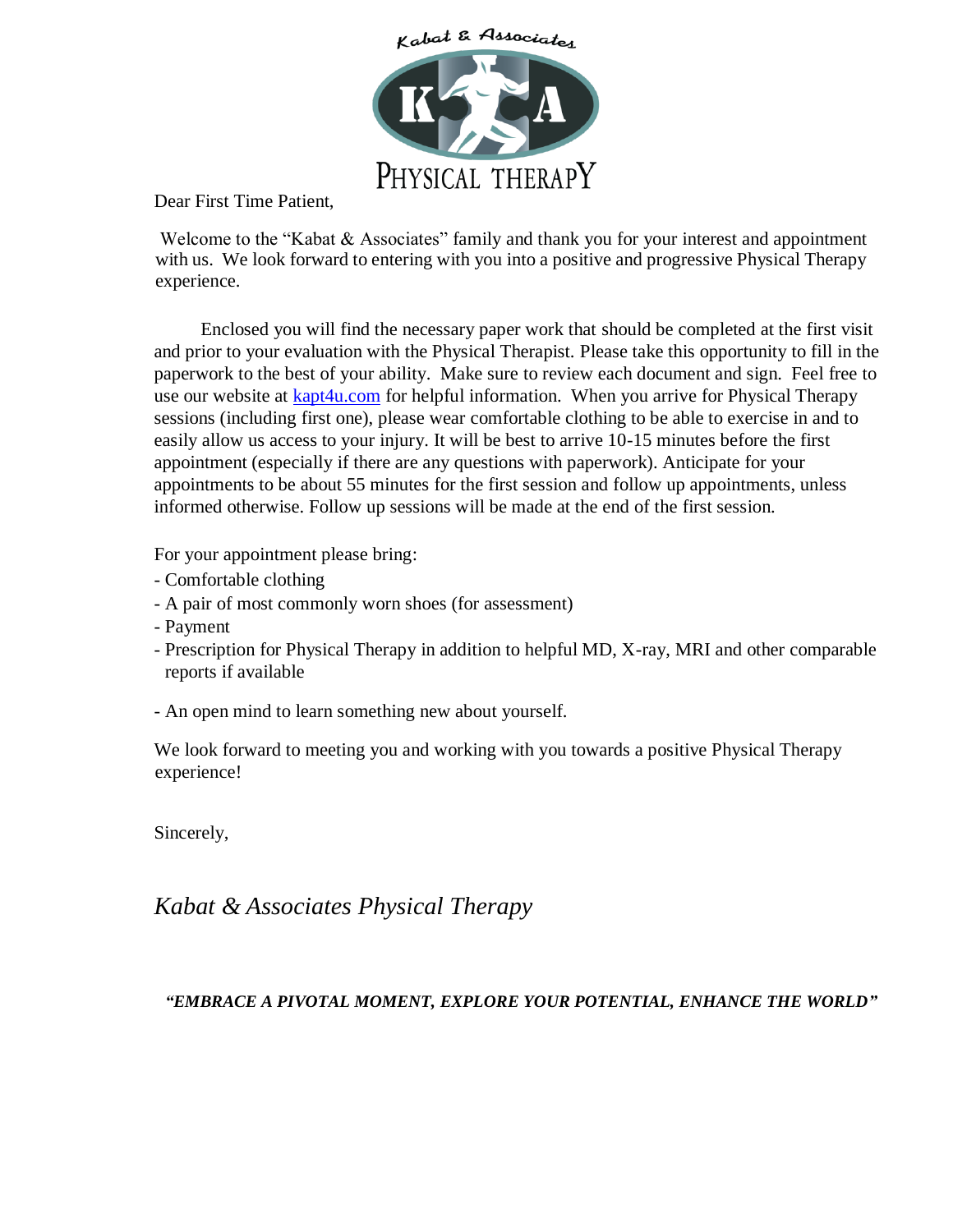

Dear First Time Patient,

Welcome to the "Kabat & Associates" family and thank you for your interest and appointment with us. We look forward to entering with you into a positive and progressive Physical Therapy experience.

Enclosed you will find the necessary paper work that should be completed at the first visit and prior to your evaluation with the Physical Therapist. Please take this opportunity to fill in the paperwork to the best of your ability. Make sure to review each document and sign. Feel free to use our website at kapt4u.com for helpful information. When you arrive for Physical Therapy sessions (including first one), please wear comfortable clothing to be able to exercise in and to easily allow us access to your injury. It will be best to arrive 10-15 minutes before the first appointment (especially if there are any questions with paperwork). Anticipate for your appointments to be about 55 minutes for the first session and follow up appointments, unless informed otherwise. Follow up sessions will be made at the end of the first session.

For your appointment please bring:

- Comfortable clothing
- A pair of most commonly worn shoes (for assessment)
- Payment
- Prescription for Physical Therapy in addition to helpful MD, X-ray, MRI and other comparable reports if available
- An open mind to learn something new about yourself.

We look forward to meeting you and working with you towards a positive Physical Therapy experience!

Sincerely,

*Kabat & Associates Physical Therapy*

# *"EMBRACE A PIVOTAL MOMENT, EXPLORE YOUR POTENTIAL, ENHANCE THE WORLD"*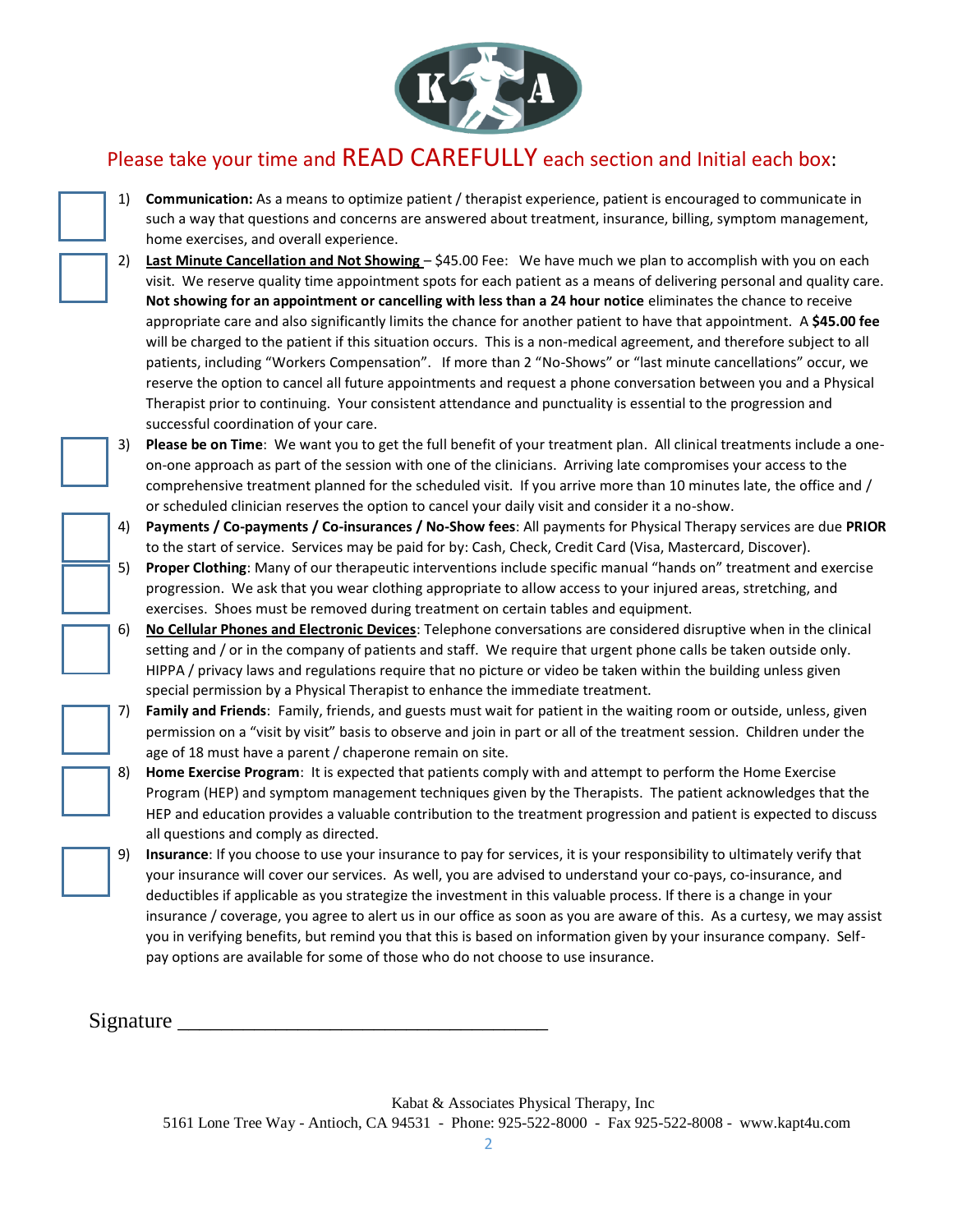

# Please take your time and READ CAREFULLY each section and Initial each box:

- 1) **Communication:** As a means to optimize patient / therapist experience, patient is encouraged to communicate in such a way that questions and concerns are answered about treatment, insurance, billing, symptom management, home exercises, and overall experience.
- 2) Last Minute Cancellation and Not Showing \$45.00 Fee: We have much we plan to accomplish with you on each visit. We reserve quality time appointment spots for each patient as a means of delivering personal and quality care. **Not showing for an appointment or cancelling with less than a 24 hour notice** eliminates the chance to receive appropriate care and also significantly limits the chance for another patient to have that appointment. A **\$45.00 fee** will be charged to the patient if this situation occurs. This is a non-medical agreement, and therefore subject to all patients, including "Workers Compensation". If more than 2 "No-Shows" or "last minute cancellations" occur, we reserve the option to cancel all future appointments and request a phone conversation between you and a Physical Therapist prior to continuing. Your consistent attendance and punctuality is essential to the progression and successful coordination of your care.
- 3) **Please be on Time**: We want you to get the full benefit of your treatment plan. All clinical treatments include a oneon-one approach as part of the session with one of the clinicians. Arriving late compromises your access to the comprehensive treatment planned for the scheduled visit. If you arrive more than 10 minutes late, the office and / or scheduled clinician reserves the option to cancel your daily visit and consider it a no-show.
- 4) **Payments / Co-payments / Co-insurances / No-Show fees**: All payments for Physical Therapy services are due **PRIOR** to the start of service. Services may be paid for by: Cash, Check, Credit Card (Visa, Mastercard, Discover).
- 5) **Proper Clothing**: Many of our therapeutic interventions include specific manual "hands on" treatment and exercise progression. We ask that you wear clothing appropriate to allow access to your injured areas, stretching, and exercises. Shoes must be removed during treatment on certain tables and equipment.
- 6) **No Cellular Phones and Electronic Devices**: Telephone conversations are considered disruptive when in the clinical setting and / or in the company of patients and staff. We require that urgent phone calls be taken outside only. HIPPA / privacy laws and regulations require that no picture or video be taken within the building unless given special permission by a Physical Therapist to enhance the immediate treatment.
- 7) **Family and Friends**: Family, friends, and guests must wait for patient in the waiting room or outside, unless, given permission on a "visit by visit" basis to observe and join in part or all of the treatment session. Children under the age of 18 must have a parent / chaperone remain on site.
- 8) **Home Exercise Program**: It is expected that patients comply with and attempt to perform the Home Exercise Program (HEP) and symptom management techniques given by the Therapists. The patient acknowledges that the HEP and education provides a valuable contribution to the treatment progression and patient is expected to discuss all questions and comply as directed.
- 9) **Insurance**: If you choose to use your insurance to pay for services, it is your responsibility to ultimately verify that your insurance will cover our services. As well, you are advised to understand your co-pays, co-insurance, and deductibles if applicable as you strategize the investment in this valuable process. If there is a change in your insurance / coverage, you agree to alert us in our office as soon as you are aware of this. As a curtesy, we may assist you in verifying benefits, but remind you that this is based on information given by your insurance company. Selfpay options are available for some of those who do not choose to use insurance.

Signature \_\_\_\_\_\_\_\_\_\_\_\_\_\_\_\_\_\_\_\_\_\_\_\_\_\_\_\_\_\_\_\_\_\_

Kabat & Associates Physical Therapy, Inc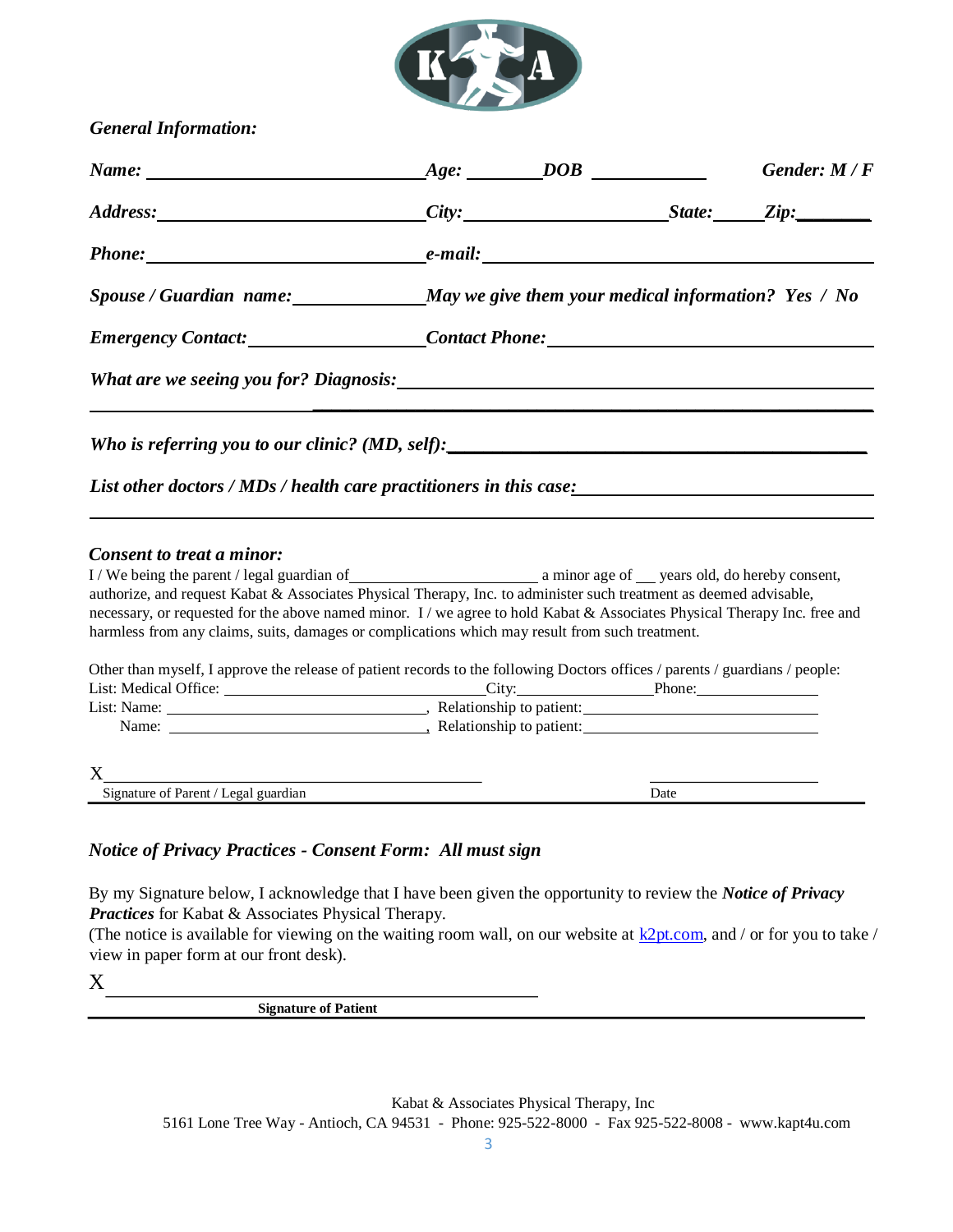

| <b>General Information:</b> |  |  |
|-----------------------------|--|--|
|-----------------------------|--|--|

| Address: <u>Zip:</u> City: City: State: Zip:                                                                                                                                                                                                                                                                                                                                  |  |  |
|-------------------------------------------------------------------------------------------------------------------------------------------------------------------------------------------------------------------------------------------------------------------------------------------------------------------------------------------------------------------------------|--|--|
| Phone: e-mail: e-mail:                                                                                                                                                                                                                                                                                                                                                        |  |  |
| Spouse / Guardian name: _________________May we give them your medical information? Yes / No                                                                                                                                                                                                                                                                                  |  |  |
| Emergency Contact: _____________________Contact Phone: __________________________                                                                                                                                                                                                                                                                                             |  |  |
| What are we seeing you for? Diagnosis:                                                                                                                                                                                                                                                                                                                                        |  |  |
| Who is referring you to our clinic? (MD, self): _________________________________                                                                                                                                                                                                                                                                                             |  |  |
|                                                                                                                                                                                                                                                                                                                                                                               |  |  |
| Consent to treat a minor:<br>authorize, and request Kabat & Associates Physical Therapy, Inc. to administer such treatment as deemed advisable,<br>necessary, or requested for the above named minor. I/we agree to hold Kabat & Associates Physical Therapy Inc. free and<br>harmless from any claims, suits, damages or complications which may result from such treatment. |  |  |
| Other than myself, I approve the release of patient records to the following Doctors offices / parents / guardians / people:                                                                                                                                                                                                                                                  |  |  |

| List: Name: | Relationship to patient: |
|-------------|--------------------------|
| Name:       | Relationship to patient: |
|             |                          |
|             |                          |

Signature of Parent / Legal guardian Date Date of Parent / Legal guardian Date

## *Notice of Privacy Practices - Consent Form: All must sign*

By my Signature below, I acknowledge that I have been given the opportunity to review the *Notice of Privacy Practices* for Kabat & Associates Physical Therapy.

(The notice is available for viewing on the waiting room wall, on our website at  $k2pt.com$ , and / or for you to take / view in paper form at our front desk).

X

**Signature of Patient**

Kabat & Associates Physical Therapy, Inc

5161 Lone Tree Way - Antioch, CA 94531 - Phone: 925-522-8000 - Fax 925-522-8008 - www.kapt4u.com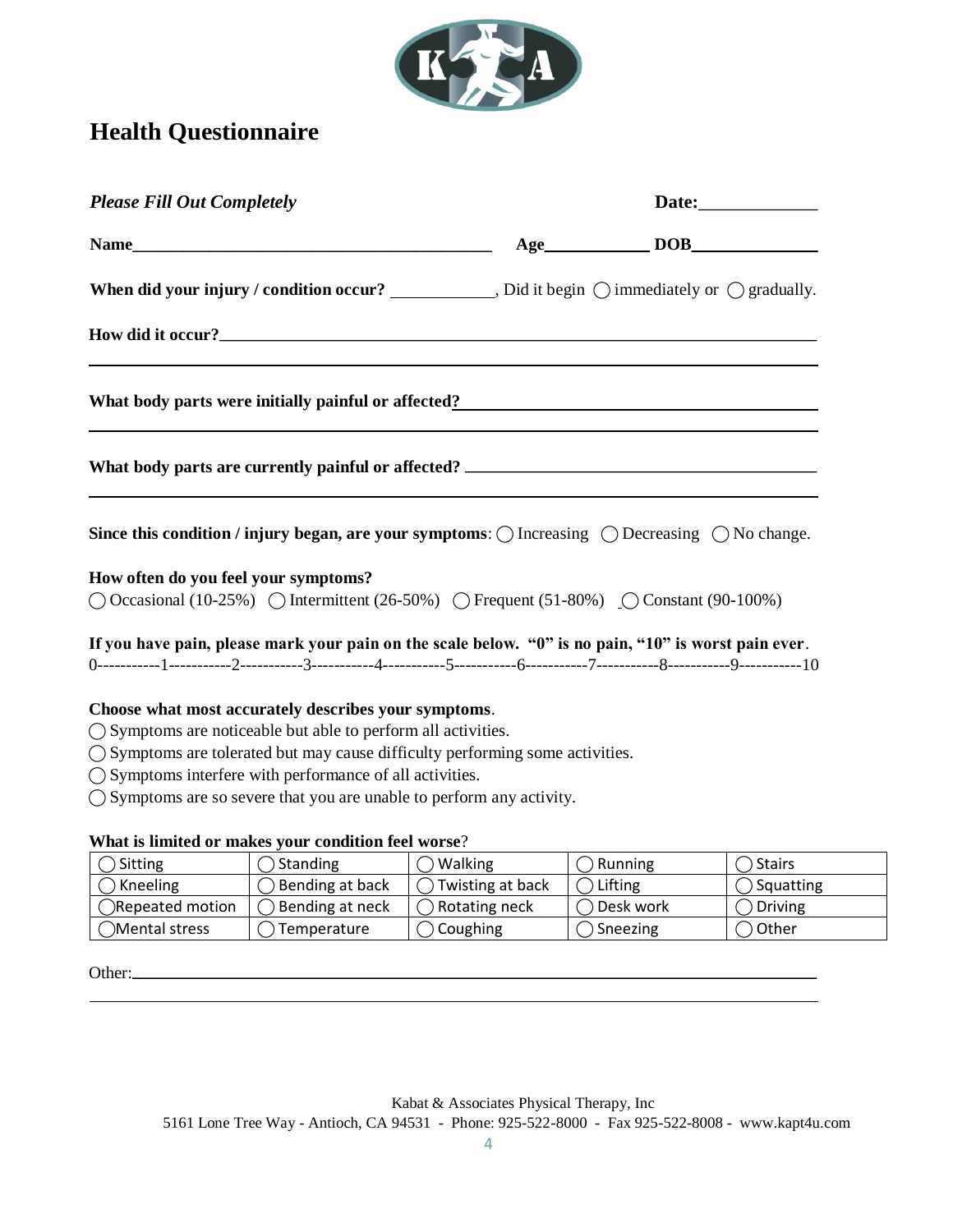

# **Health Questionnaire**

| <b>Please Fill Out Completely</b>                                                                                                                                                                                                                                                                                                                                                                    |  |
|------------------------------------------------------------------------------------------------------------------------------------------------------------------------------------------------------------------------------------------------------------------------------------------------------------------------------------------------------------------------------------------------------|--|
|                                                                                                                                                                                                                                                                                                                                                                                                      |  |
| When did your injury / condition occur? ____________, Did it begin $\bigcirc$ immediately or $\bigcirc$ gradually.                                                                                                                                                                                                                                                                                   |  |
|                                                                                                                                                                                                                                                                                                                                                                                                      |  |
| What body parts were initially painful or affected? Notice that the control of the control of the control of the control of the control of the control of the control of the control of the control of the control of the cont                                                                                                                                                                       |  |
|                                                                                                                                                                                                                                                                                                                                                                                                      |  |
|                                                                                                                                                                                                                                                                                                                                                                                                      |  |
|                                                                                                                                                                                                                                                                                                                                                                                                      |  |
|                                                                                                                                                                                                                                                                                                                                                                                                      |  |
| Since this condition / injury began, are your symptoms: $\bigcap$ Increasing $\bigcap$ Decreasing $\bigcap$ No change.<br>How often do you feel your symptoms?<br>$\bigcirc$ Occasional (10-25%) $\bigcirc$ Intermittent (26-50%) $\bigcirc$ Frequent (51-80%) $\bigcirc$ Constant (90-100%)<br>If you have pain, please mark your pain on the scale below. "0" is no pain, "10" is worst pain ever. |  |
|                                                                                                                                                                                                                                                                                                                                                                                                      |  |
|                                                                                                                                                                                                                                                                                                                                                                                                      |  |
|                                                                                                                                                                                                                                                                                                                                                                                                      |  |
| Choose what most accurately describes your symptoms.<br>$\bigcirc$ Symptoms are noticeable but able to perform all activities.<br>◯ Symptoms are tolerated but may cause difficulty performing some activities.                                                                                                                                                                                      |  |
| ◯ Symptoms interfere with performance of all activities.<br>$\bigcirc$ Symptoms are so severe that you are unable to perform any activity.                                                                                                                                                                                                                                                           |  |

# **What is limited or makes your condition feel worse**? ◯ Sitting  $\bigcirc$  Standing  $\bigcirc$  Walking  $\bigcirc$  Running  $\bigcirc$  Stairs  $\bigcirc$  Kneeling  $\bigcirc$  Bending at back  $\bigcirc$  Twisting at back  $\bigcirc$  Lifting  $\bigcirc$  Squatting  $\bigcirc$ Repeated motion  $\bigcirc$  Bending at neck  $\bigcirc$  Rotating neck  $\bigcirc$  Desk work  $\bigcirc$  Driving  $\bigcirc$ Mental stress  $\bigcirc$  Temperature  $\bigcirc$  Coughing  $\bigcirc$  Sneezing  $\bigcirc$  Other

Other: and the contract of the contract of the contract of the contract of the contract of the contract of the contract of the contract of the contract of the contract of the contract of the contract of the contract of the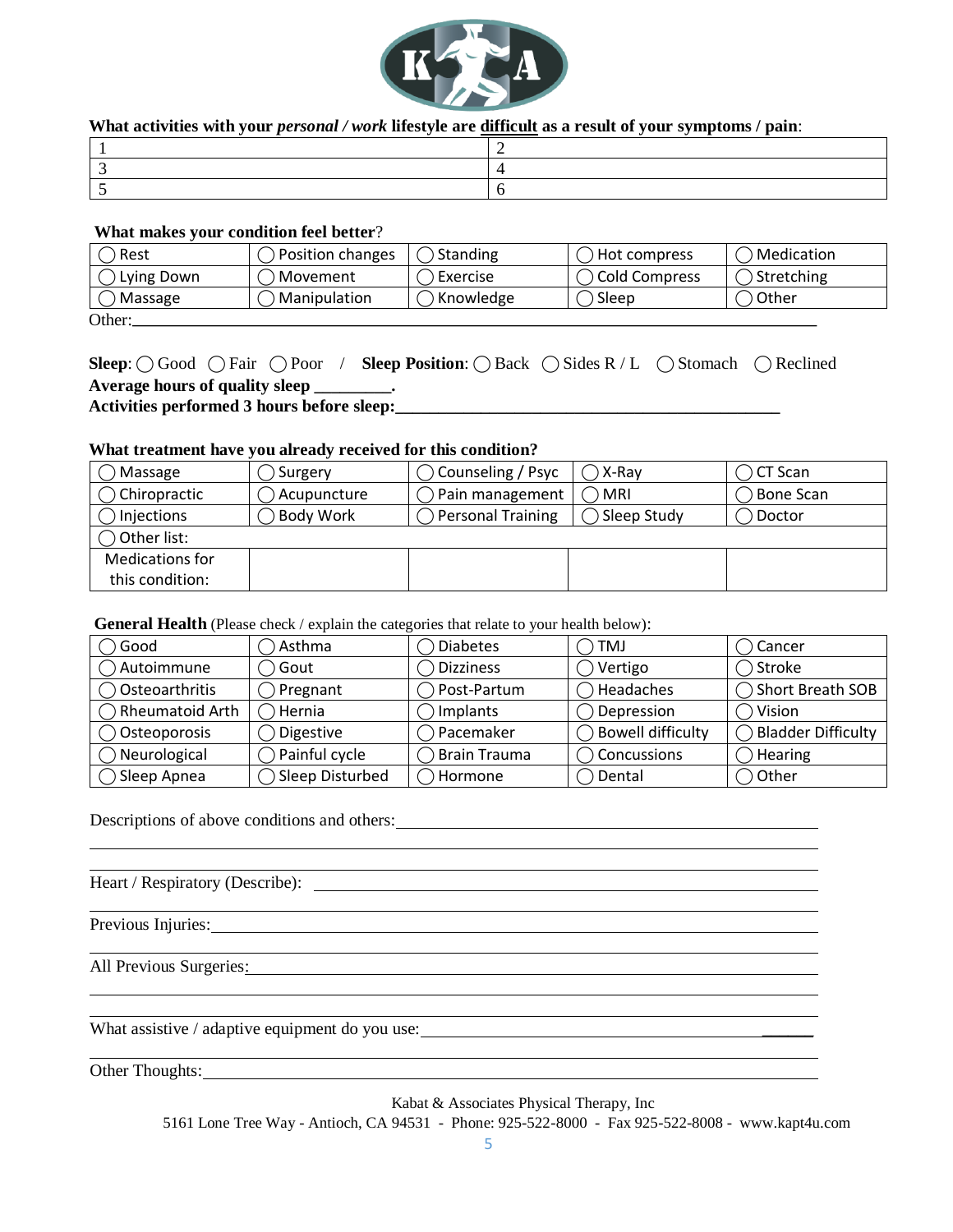

#### **What activities with your** *personal / work* **lifestyle are difficult as a result of your symptoms / pain**:

#### **What makes your condition feel better**?

| ) Rest     | Position changes    | <b>Standing</b> | Hot compress  | ) Medication |
|------------|---------------------|-----------------|---------------|--------------|
| Lying Down | ) Movement          | Exercise        | Cold Compress | Stretching   |
| Massage    | <b>Manipulation</b> | Knowledge       | Sleep         | ≀ Other      |
| Other:     |                     |                 |               |              |

### **Sleep**: ◯ Good ◯ Fair ◯ Poor / **Sleep Position**: ◯ Back ◯ Sides R / L ◯ Stomach ◯ Reclined **Average hours of quality sleep \_\_\_\_\_\_\_\_\_. Activities performed 3 hours before sleep:\_\_\_\_\_\_\_\_\_\_\_\_\_\_\_\_\_\_\_\_\_\_\_\_\_\_\_\_\_\_\_\_\_\_\_\_\_\_\_\_\_\_\_\_\_**

#### **What treatment have you already received for this condition?**

| Massage         | J Surgery        | $\bigcirc$ Counseling / Psyc | ) X-Ray     | CT Scan          |
|-----------------|------------------|------------------------------|-------------|------------------|
| Chiropractic    | Acupuncture      | Pain management              | ) MRI       | <b>Bone Scan</b> |
| ) Injections    | <b>Body Work</b> | <b>Personal Training</b>     | Sleep Study | Doctor           |
| Other list:     |                  |                              |             |                  |
| Medications for |                  |                              |             |                  |
| this condition: |                  |                              |             |                  |

**General Health** (Please check / explain the categories that relate to your health below):

| Good                   | ∩Asthma          | <b>Diabetes</b>     | TMJ                      | Cancer                    |
|------------------------|------------------|---------------------|--------------------------|---------------------------|
| ◯ Autoimmune           | Gout             | <b>Dizziness</b>    | Vertigo                  | Stroke                    |
| Osteoarthritis         | Pregnant         | Post-Partum         | Headaches                | Short Breath SOB          |
| ◯ Rheumatoid Arth      | ∩ Hernia         | Implants            | Depression               | Vision                    |
| Osteoporosis           | <b>Digestive</b> | Pacemaker           | <b>Bowell difficulty</b> | <b>Bladder Difficulty</b> |
| ) Neurological         | Painful cycle    | <b>Brain Trauma</b> | <b>Concussions</b>       | Hearing                   |
| $\bigcirc$ Sleep Apnea | Sleep Disturbed  | Hormone             | Dental                   | Other                     |

the control of the control of the control of the control of the control of the control of the control of the control of the control of the control of the control of the control of the control of the control of the control

Descriptions of above conditions and others:

Heart / Respiratory (Describe):

Previous Injuries:

All Previous Surgeries:

What assistive / adaptive equipment do you use:

Other Thoughts: and the contract of the contract of the contract of the contract of the contract of the contract of the contract of the contract of the contract of the contract of the contract of the contract of the contra

Kabat & Associates Physical Therapy, Inc

<u> 1989 - Johann Stoff, fransk politik (f. 1989)</u>

<u> 1989 - Johann Stoff, amerikansk politiker (d. 1989)</u>

l.

5161 Lone Tree Way - Antioch, CA 94531 - Phone: 925-522-8000 - Fax 925-522-8008 - www.kapt4u.com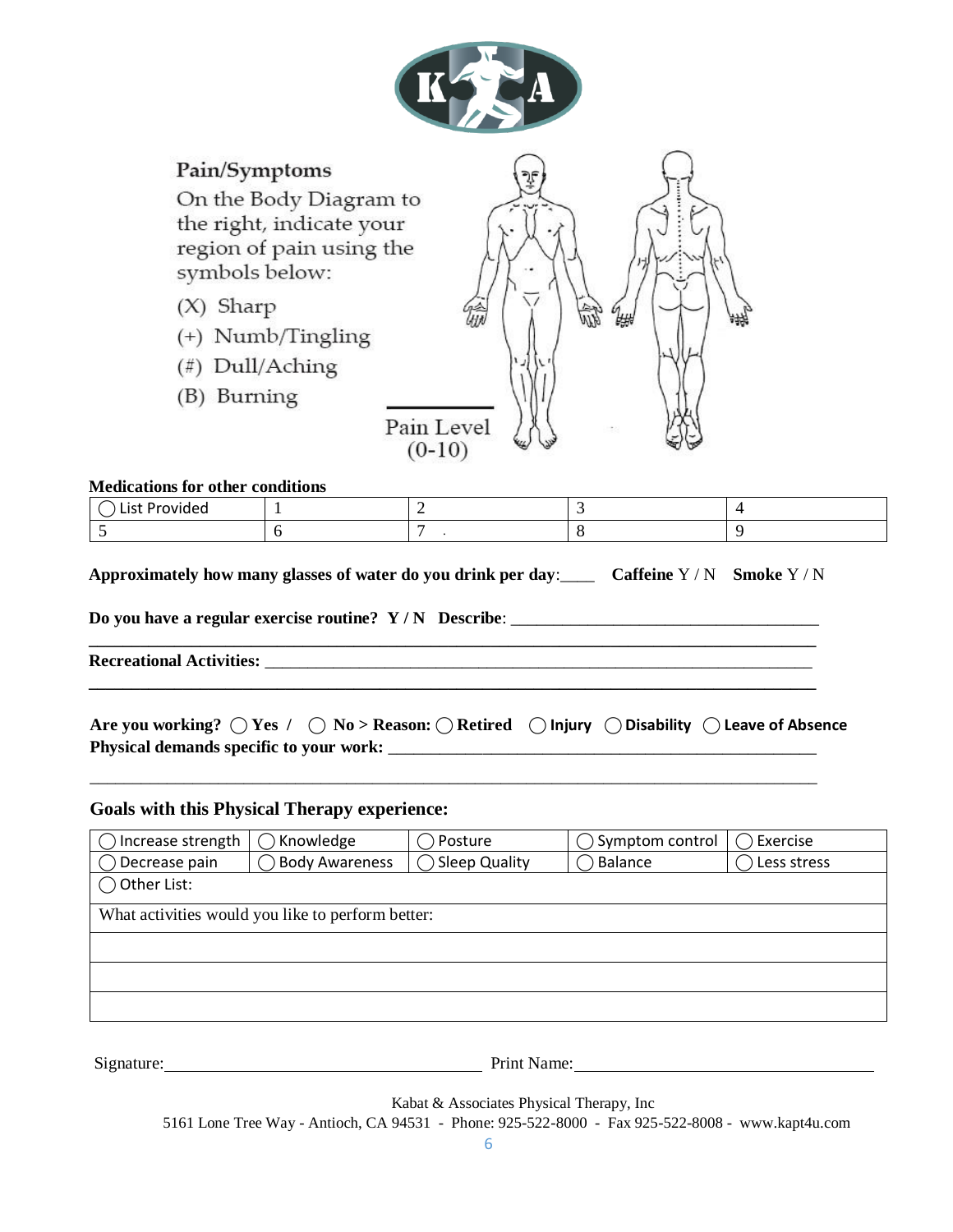

Pain/Symptoms On the Body Diagram to the right, indicate your region of pain using the symbols below:

- $(X)$  Sharp
- $(+)$  Numb/Tingling
- $(\#)$  Dull/Aching
- (B) Burning



**\_\_\_\_\_\_\_\_\_\_\_\_\_\_\_\_\_\_\_\_\_\_\_\_\_\_\_\_\_\_\_\_\_\_\_\_\_\_\_\_\_\_\_\_\_\_\_\_\_\_\_\_\_\_\_\_\_\_\_\_\_\_\_\_\_\_\_\_\_\_\_\_\_\_\_\_\_\_\_\_\_\_\_\_\_**

#### **Medications for other conditions**

| 느니다 |  |  |
|-----|--|--|
|     |  |  |

**Approximately how many glasses of water do you drink per day**:\_\_\_\_ **Caffeine** Y / N **Smoke** Y / N

**\_\_\_\_\_\_\_\_\_\_\_\_\_\_\_\_\_\_\_\_\_\_\_\_\_\_\_\_\_\_\_\_\_\_\_\_\_\_\_\_\_\_\_\_\_\_\_\_\_\_\_\_\_\_\_\_\_\_\_\_\_\_\_\_\_\_\_\_\_\_\_\_\_\_\_\_\_\_\_\_\_\_\_\_\_**

\_\_\_\_\_\_\_\_\_\_\_\_\_\_\_\_\_\_\_\_\_\_\_\_\_\_\_\_\_\_\_\_\_\_\_\_\_\_\_\_\_\_\_\_\_\_\_\_\_\_\_\_\_\_\_\_\_\_\_\_\_\_\_\_\_\_\_\_\_\_\_\_\_\_\_\_\_\_\_\_\_\_\_\_\_

**Do you have a regular exercise routine? Y / N Describe**: \_\_\_\_\_\_\_\_\_\_\_\_\_\_\_\_\_\_\_\_\_\_\_\_\_\_\_\_\_\_\_\_\_\_\_\_

**Recreational Activities:** \_\_\_\_\_\_\_\_\_\_\_\_\_\_\_\_\_\_\_\_\_\_\_\_\_\_\_\_\_\_\_\_\_\_\_\_\_\_\_\_\_\_\_\_\_\_\_\_\_\_\_\_\_\_\_\_\_\_\_\_\_\_\_\_

|                                         | Are you working? $\bigcirc$ Yes / $\bigcirc$ No > Reason: $\bigcirc$ Retired $\bigcirc$ Injury $\bigcirc$ Disability $\bigcirc$ Leave of Absence |  |  |
|-----------------------------------------|--------------------------------------------------------------------------------------------------------------------------------------------------|--|--|
| Physical demands specific to your work: |                                                                                                                                                  |  |  |

### **Goals with this Physical Therapy experience:**

| Increase strength      | Knowledge                                         | Posture       | $\bigcirc$ Symptom control | Exercise    |
|------------------------|---------------------------------------------------|---------------|----------------------------|-------------|
| Decrease pain          | <b>Body Awareness</b>                             | Sleep Quality | Balance                    | Less stress |
| $\bigcirc$ Other List: |                                                   |               |                            |             |
|                        | What activities would you like to perform better: |               |                            |             |
|                        |                                                   |               |                            |             |
|                        |                                                   |               |                            |             |
|                        |                                                   |               |                            |             |

Signature: Print Name:

Kabat & Associates Physical Therapy, Inc

5161 Lone Tree Way - Antioch, CA 94531 - Phone: 925-522-8000 - Fax 925-522-8008 - www.kapt4u.com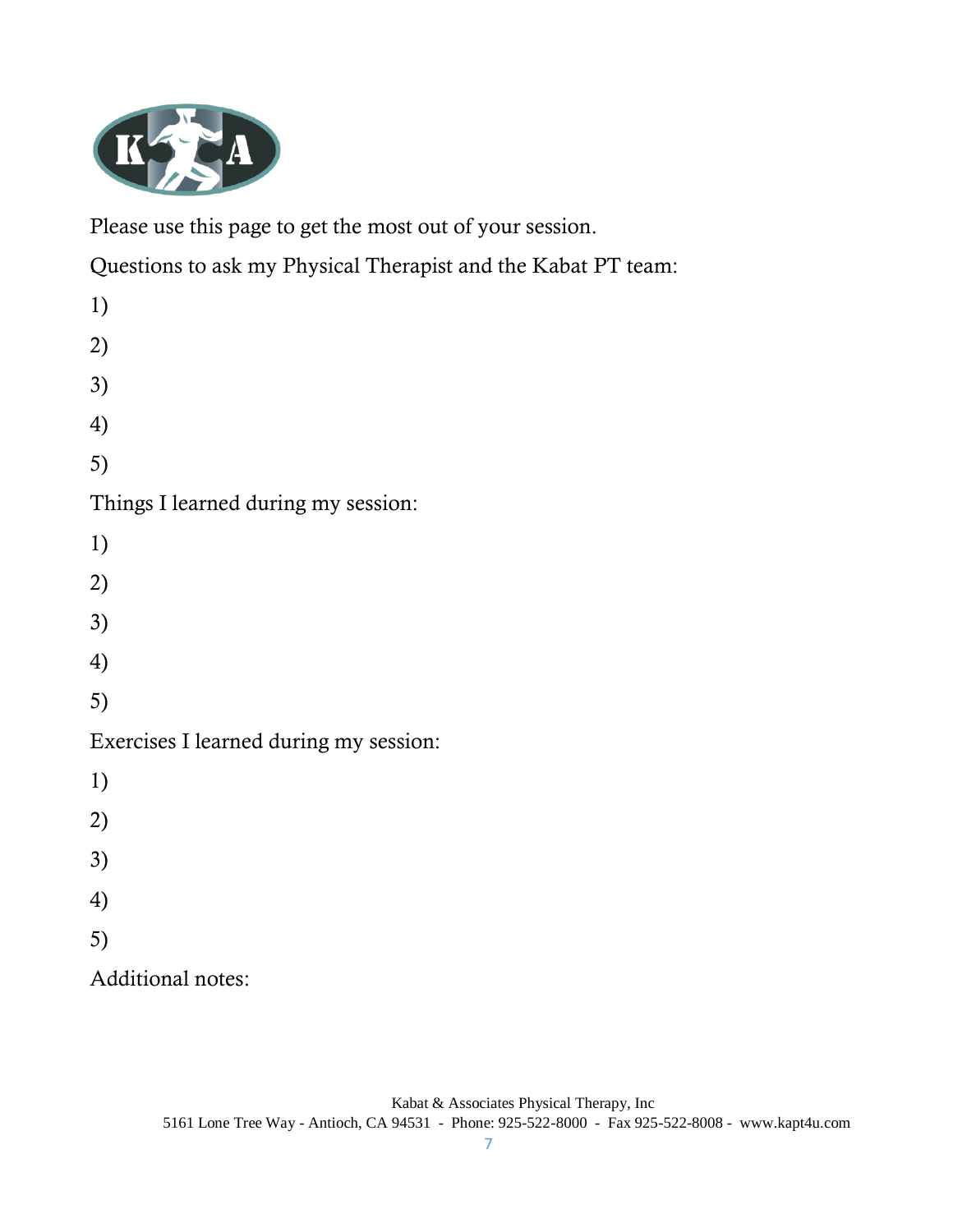

Please use this page to get the most out of your session.

Questions to ask my Physical Therapist and the Kabat PT team:

| 1)                                     |
|----------------------------------------|
| 2)                                     |
| 3)                                     |
| 4)                                     |
| 5)                                     |
| Things I learned during my session:    |
| 1)                                     |
| 2)                                     |
| 3)                                     |
| 4)                                     |
| 5)                                     |
| Exercises I learned during my session: |
| 1)                                     |
| 2)                                     |
| 3)                                     |
| 4)                                     |
| 5)                                     |
| Additional notes:                      |